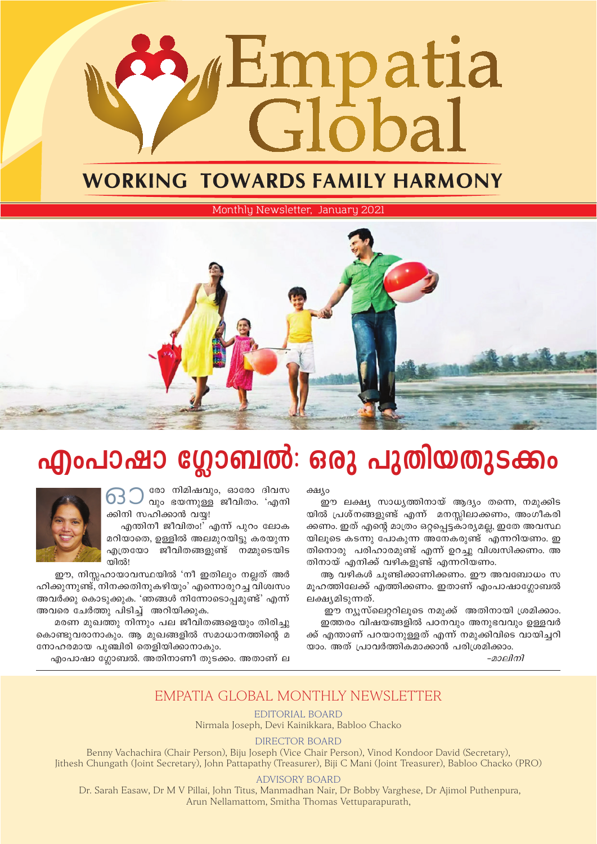# mpatia ichal

### **WORKING TOWARDS FAMILY HARMONY**

Monthly Newsletter, January 2021



## എംപാഷാ ഗ്ലോബൽ: ഒരു പുതിയതുടക്കം

രോ നിമിഷവും, ഓരോ ദിവസ ) രോ നമ്പരമാരും, കാണ്ടാ<br>വും ഭയന്നുള്ള ജീവിതം. 'എനി 63 J ക്കിനി സഹിക്കാൻ വയ്യ!

എന്തിനീ ജീവിതം!<sup>7</sup> എന്ന് പുറം ലോക മറിയാതെ, ഉള്ളിൽ അലമുറയിട്ടു കരയുന്ന എത്രയോ ജീവിതങ്ങളുണ്ട് നമ്മുടെയിട ന്തിൽ!

ഈ, നിസ്സഹായാവസ്ഥയിൽ 'നീ ഇതിലും നല്ലത് അർ ഹിക്കുന്നുണ്ട്, നിനക്കതിനുകഴിയും' എന്നൊരുറച്ച വിശ്വസം അവർക്കു കൊടുക്കുക. 'ഞങ്ങൾ നിന്നോടൊപ്പമുണ്ട്' എന്ന് അവരെ ചേർത്തു പിടിച്\_ അറിയിക്കുക.

മരണ മുഖത്തു നിന്നും പല ജീവിതങ്ങളെയും തിരിച്ചു കൊണ്ടുവരാനാകും. ആ മുഖങ്ങളിൽ സമാധാനത്തിന്റെ മ നോഹരമായ പുഞ്ചിരി തെളിയിക്കാനാകും.

എംപാഷാ ഗ്ലോബൽ. അതിനാണീ തുടക്കം. അതാണ് ല

ക്ഷ്യം

.<br>ഈ ലക്ഷ്യ സാധ്യത്തിനായ് ആദ്യം തന്നെ, നമുക്കിട യിൽ പ്രശ്നങ്ങളുണ്ട് എന്ന് മനസ്സിലാക്കണം, അംഗീകരി ക്കണം. ഇത് എന്റെ മാത്രം ഒറ്റപ്പെട്ടകാര്യമല്ല, ഇതേ അവസ്ഥ യിലൂടെ കടന്നു പോകുന്ന അനേകരുണ്ട് എന്നറിയണം. ഇ തിനൊരു പരിഹാരമുണ്ട് എന്ന് ഉറച്ചു വിശ്വസിക്കണം. അ തിനായ് എനിക്ക് വഴികളുണ്ട് എന്നറിയണം.

ആ വഴികൾ ചുണ്ടിക്കാണിക്കണം. ഈ അവബോധം സ മൂഹത്തിലേക്ക് എത്തിക്കണം. ഇതാണ് എംപാഷാഗ്ലോബൽ ലക്ഷ്യമിടുന്നത്.

ഈ ന്യസ്ലെററിലൂടെ നമുക്ക് അതിനായി ശ്രമിക്കാം. ഇത്തരം വിഷയങ്ങളിൽ പഠനവും അനുഭവവും ഉള്ളവർ ക്ക് എന്താണ് പറയാനുള്ളത് എന്ന് നമുക്കിവിടെ വായിച്ചറി യാം. അത് പ്രാവർത്തികമാക്കാൻ പരിശ്രമിക്കാം.

-മാലിനി

#### EMPATIA GLOBAL MONTHLY NEWSLETTER

EDITORIAL BOARD Nirmala Joseph, Devi Kainikkara, Babloo Chacko

**DIRECTOR BOARD** 

Benny Vachachira (Chair Person), Biju Joseph (Vice Chair Person), Vinod Kondoor David (Secretary), Jithesh Chungath (Joint Secretary), John Pattapathy (Treasurer), Biji C Mani (Joint Treasurer), Babloo Chacko (PRO)

**ADVISORY BOARD** 

Dr. Sarah Easaw, Dr M V Pillai, John Titus, Manmadhan Nair, Dr Bobby Varghese, Dr Ajimol Puthenpura, Arun Nellamattom, Smitha Thomas Vettuparapurath,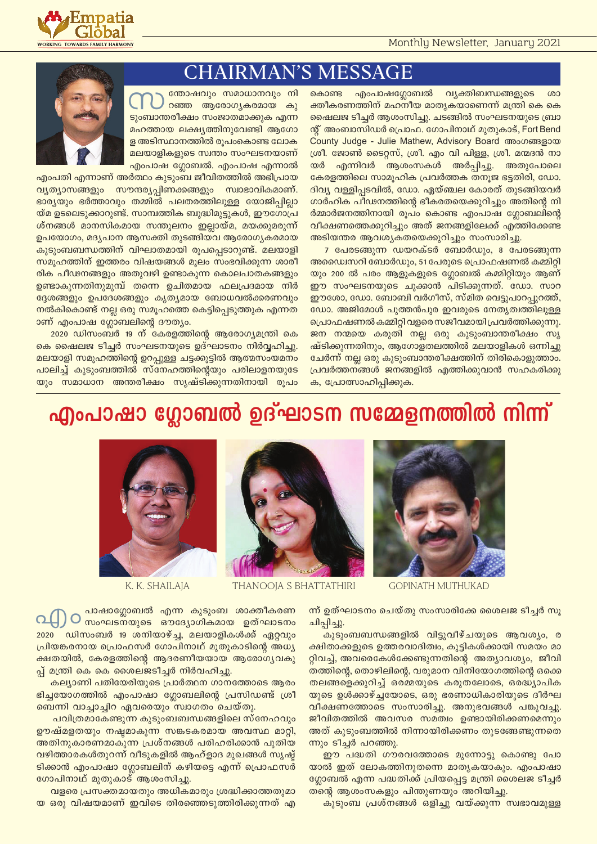

#### **CHAIRMAN'S MESSAGE**

ത്തോഷവും സമാധാനവും നി റഞ്ഞ ആരോഗ്യകരമായ കു ടുംബാന്തരീക്ഷം സംജാതമാക്കുക എന്ന മഹത്തായ ലക്ഷ്യത്തിനുവേണ്ടി ആഗോ ള അടിസ്ഥാനത്തിൽ രൂപംകൊണ്ട ലോക മലയാളികളുടെ സ്വന്തം സംഘടനയാണ് എംപാഷ ഗ്ലോബൽ. എംപാഷ എന്നാൽ



എംപതി എന്നാണ് അർത്ഥം കുടുംബ ജീവിതത്തിൽ അഭിപ്രായ വ്യത്യാസങ്ങളും സൗന്ദര്യപ്പിണക്കങ്ങളും സ്വാഭാവികമാണ്. ഭാര്യയും ഭർത്താവും തമ്മിൽ പലതരത്തിലുള്ള യോജിപ്പില്ലാ യ്മ ഉടലെടുക്കാറുണ്ട്. സാമ്പത്തിക ബുദ്ധിമുട്ടുകൾ, ഈഗോപ്ര ശ്നങ്ങൾ മാനസികമായ സന്തുലനം ഇല്ലായ്മ, മയക്കുമരുന്ന് ഉപയോഗം, മദ്യപാന ആസക്തി തുടങ്ങിയവ ആരോഗ്യകരമായ കുടുംബബന്ധത്തിന് വിഘാതമായി രൂപപ്പെടാറുണ്ട്. മലയാളി സമൂഹത്തിന് ഇത്തരം വിഷയങ്ങൾ മൂലം സംഭവിക്കുന്ന ശാരീ രിക പീഢനങ്ങളും അതുവഴി ഉണ്ടാകുന്ന കൊലപാതകങ്ങളും ഉണ്ടാകുന്നതിനുമുമ്പ് തന്നെ ഉചിതമായ ഫലപ്രദമായ നിർ ദ്ദേശങ്ങളും ഉപദേശങ്ങളും കൃത്യമായ ബോധവൽക്കരണവും നൽകികൊണ്ട് നല്ല ഒരു സമൂഹത്തെ കെട്ടിപ്പെടുത്തുക എന്നത ാണ് എംപാഷ ഗ്ലോബലിന്റെ ദൗത്യം.

2020 ഡിസംബർ 19 ന് കേരളത്തിന്റെ ആരോഗ്യമന്ത്രി കെ കെ ഷൈലജ ടീച്ചർ സംഘടനയുടെ ഉദ്ഘാടനം നിർവ്വഹിച്ചു. മലയാളി സമൂഹത്തിന്റെ ഉറപ്പുള്ള ചട്ടക്കൂട്ടിൽ ആത്മസംയമനം പാലിച്ച് കുടുംബത്തിൽ സ്നേഹത്തിന്റെയും പരിലാളനയുടേ യും സമാധാന അന്തരീക്ഷം സൃഷ്ടിക്കുന്നതിനായി രൂപം കൊണ്ട എംപാഷഗ്ലോബൽ വ്യക്തിബന്ധങ്ങളുടെ ശാ ക്തീകരണത്തിന് മഹനീയ മാതൃകയാണെന്ന് മന്ത്രി കെ കെ ഷൈലജ ടീച്ചർ ആശംസിച്ചു. ചടങ്ങിൽ സംഘടനയുടെ ബ്രാ ന്റ് അംബാസിഡർ പ്രൊഫ. ഗോപിനാഥ് മുതുകാട്, Fort Bend County Judge - Julie Mathew, Advisory Board അംഗങ്ങളായ ശ്രീ. ജോൺ ടൈറ്റസ്, ശ്രീ. എം വി പിള്ള, ശ്രീ. മന്മദൻ നാ എന്നിവർ ആശംസകൾ അർപ്പിച്ചു. അതുപോലെ യർ കേരളത്തിലെ സാമൂഹിക പ്രവർത്തക തനുജ ഭട്ടതിരി, ഡോ. ദിവ്യ വള്ളിപ്പടവിൽ, ഡോ. ഏയ്ഞ്ചല കോരത് തുടങ്ങിയവർ ഗാർഹിക പീഢനത്തിന്റെ ഭീകരതയെക്കുറിച്ചും അതിന്റെ നി ർമ്മാർജനത്തിനായി രൂപം കൊണ്ട എംപാഷ ഗ്ലോബലിന്റെ വീക്ഷണത്തെക്കുറിച്ചും അത് ജനങ്ങളിലേക്ക് എത്തിക്കേണ്ട അടിയന്തര ആവശ്യകതയെക്കുറിച്ചും സംസാരിച്ചു.

7 പേരടങ്ങുന്ന ഡയറക്ടർ ബോർഡും, 8 പേരടങ്ങുന്ന അഡ്വൈസറി ബോർഡും, 51 പേരുടെ പ്രൊഫഷണൽ കമ്മിറ്റി യും 200 ൽ പരം ആളുകളുടെ ഗ്ലോബൽ കമ്മിറ്റിയും ആണ് ഈ സംഘടനയുടെ ചുക്കാൻ പിടിക്കുന്നത്. ഡോ. സാറ ഈശോ, ഡോ. ബോബി വർഗീസ്, സ്മിത വെട്ടുപാറപ്പുറത്ത്, ഡോ. അജിമോൾ പുത്തൻപുര ഇവരുടെ നേതൃത്വത്തിലുള്ള പ്രൊഫഷണൽ കമ്മിറ്റി വളരെ സജീവമായി പ്രവർത്തിക്കുന്നു. ജന നന്മയെ കരുതി നല്ല ഒരു കുടുംബാന്തരീക്ഷം സൃ ഷ്ടിക്കുന്നതിനും, ആഗോളതലത്തിൽ മലയാളികൾ ഒന്നിച്ചു ചേർന്ന് നല്ല ഒരു കുടുംബാന്തരീക്ഷത്തിന് തിരികൊളുത്താം. പ്രവർത്തനങ്ങൾ ജനങ്ങളിൽ എത്തിക്കുവാൻ സഹകരിക്കു ക, പ്രോത്സാഹിപ്പിക്കുക.

### എംപാഷാ ഗ്ലോബൽ ഉദ്ഘാടന സമ്മേളനത്തിൽ നിന്ന്



**GOPINATH MUTHUKAD** 



THANOOIA S BHATTATHIRI

K. K. SHAILAIA

ന്ന് ഉത്ഘാടനം ചെയ്തു സംസാരിക്കേ ശൈലജ ടീച്ചർ സു ചിപ്പിച്ചു.

.<br>കുടുംബബന്ധങ്ങളിൽ വിട്ടുവീഴ്ചയുടെ ആവശ്യം, ര ക്ഷിതാക്കളുടെ ഉത്തരവാദിത്വം, കൂട്ടികൾക്കായി സമയം മാ റ്റിവച്ച്, അവരെകേൾക്കേണ്ടുന്നതിന്റെ അത്യാവശ്യം, ജീവി തത്തിന്റെ, തൊഴിലിന്റെ, വരുമാന വിനിയോഗത്തിന്റെ ഒക്കെ തലങ്ങളെക്കുറിച്ച് ഒരമ്മയുടെ കരുതലോടെ, ഒരദ്ധ്യാപിക യുടെ ഉൾക്കാഴ്ച്ചയോടെ, ഒരു ഭരണാധികാരിയുടെ ദീർഘ വീക്ഷണത്തോടെ സംസാരിച്ചു. അനുഭവങ്ങൾ പങ്കുവച്ചു. ജീവിതത്തിൽ അവസര സമത്വം ഉണ്ടായിരിക്കണമെന്നും അത് കൂടുംബത്തിൽ നിന്നായിരിക്കണം തുടങ്ങേണ്ടുന്നതെ ന്നും ടീച്ചർ പറഞ്ഞു.

ഈ പദ്ധതി ഗൗരവത്തോടെ മുന്നോട്ടു കൊണ്ടു പോ യാൽ ഇത് ലോകത്തിനുതന്നെ മാതൃകയാകും. എംപാഷാ ഗ്ലോബൽ എന്ന പദ്ധതിക്ക് പ്രിയപ്പെട്ട മന്ത്രി ശൈലജ ടീച്ചർ തന്റെ ആശംസകളും പിന്തുണയും അറിയിച്ചു.

കുടുംബ പ്രശ്നങ്ങൾ ഒളിച്ചു വയ്ക്കുന്ന സ്വഭാവമുള്ള

പാഷാഗ്ലോബൽ എന്ന കൂടുംബ ശാക്തീകരണ O സംഘടനയുടെ ഔദ്യോഗികമായ ഉത്ഘാടനം 2020 ഡിസംബർ 19 ശനിയാഴ്ച്ച, മലയാളികൾക്ക് ഏറ്റവും പ്രിയങ്കരനായ പ്രൊഫസർ ഗോപിനാഥ് മുതുകാടിന്റെ അധ്യ ക്ഷതയിൽ, കേരളത്തിന്റെ ആദരണീയയായ ആരോഗ്യവകു പ്പ് മന്ത്രി കെ കെ ശൈലജടീച്ചർ നിർവഹിച്ചു.

കല്യാണി പതിയേരിയുടെ പ്രാർത്ഥന ഗാനത്തോടെ ആരം ഭിച്ചയോഗത്തിൽ എംപാഷാ ഗ്ലോബലിന്റെ പ്രസിഡണ്ട് ശ്രീ ബെന്നി വാച്ചാച്ചിറ ഏവരെയും സ്വാഗതം ചെയ്തു.

പവിത്രമാകേണ്ടുന്ന കൂടുംബബന്ധങ്ങളിലെ സ്നേഹവും ഊഷ്മളതയും നഷ്ടമാകുന്ന സങ്കടകരമായ അവസ്ഥ മാറ്റി, അതിനുകാരണമാകുന്ന പ്രശ്നങ്ങൾ പരിഹരിക്കാൻ പുതിയ വഴിത്താരകൾതുറന്ന് വീടുകളിൽ ആഹ്ളാദ മുഖങ്ങൾ സൃഷ് ടിക്കാൻ എംപാഷാ ഗ്ലോബലിന് കഴിയട്ടെ എന്ന് പ്രൊഫസർ ഗോപിനാഥ് മുതുകാട് ആശംസിച്ചു.

വളരെ പ്രസക്തമായതും അധികമാരും ശ്രദ്ധിക്കാത്തതുമാ യ ഒരു വിഷയമാണ് ഇവിടെ തിരഞ്ഞെടുത്തിരിക്കുന്നത് എ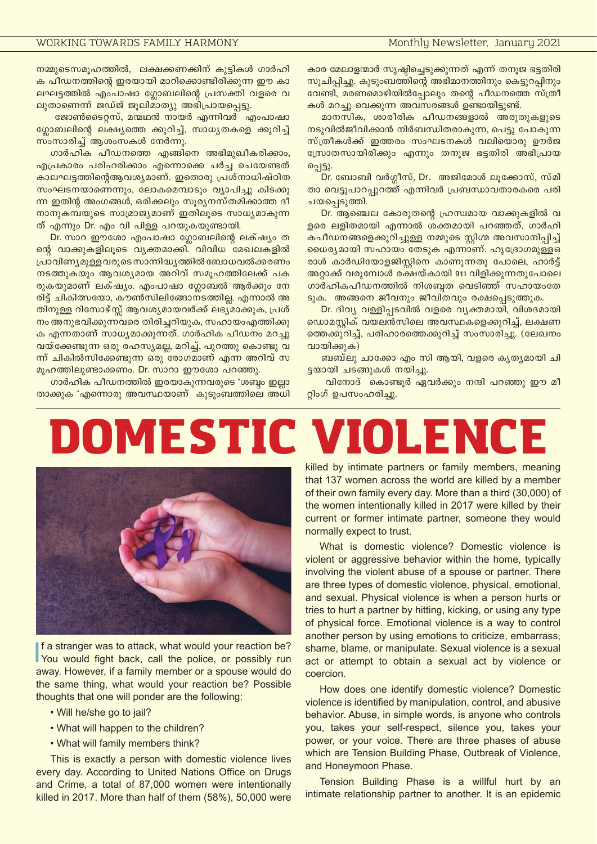<u>. നമ്മുടെസമൂഹത്തിൽ, ലക്ഷക്കണക്കിന് കുട്ടികൾ ഗാർഹി</u> ക പീഡനത്തിന്റെ ഇരയായി മാറിക്കൊണ്ടിരിക്കുന്ന ഈ കാ ലഘട്ടത്തിൽ എംപാഷാ ഗ്ലോബലിന്റെ പ്രസക്തി വളരെ വ ലൂതാണെന്ന് ജഡ്ജ് ജൂലിമാത്യൂ അഭിപ്രായപ്പെട്ടു.

 $\cos\theta$ ക്കെട $\cos\theta$  മന്മഥൻ നായർ എന്നിവർ എംപാഷാ  $\alpha$ ഗ്രാബലിന്റെ ലക്ഷ്യത്തെ ക്കുറിച്ച്, സാധ്യതകളെ ക്കുറിച്ച്  $m$ ംസാരിച്ച് ആശംസകൾ നേർന്നു.

നാർഹിക പീഡനത്തെ എങ്ങിനെ അഭിമുഖീകരിക്കാം,  $\sim$ എപ്രകാരം പരിഹരിക്കാം എന്നൊക്കെ ചർച്ച ചെയേണ്ടത് കാലഘട്ടത്തിന്റെആവശ്യമാണ്. ഇതൊരു പ്രശ്നാധിഷ്ഠിത സംഘടനയാണെന്നും, ലോകമെമ്പാടും വ്യാപിച്ചു കിടക്കു m ഇതിന്റ അംഗങ്ങൾ, ഒരിക്കലും സൂര്യനസ്തമിക്കാത്ത ദീ  $\overline{\phantom{a}}$ നാനുകമ്പയുടെ സാമ്രാജ്യമാണ് ഇതിലൂടെ സാധ്യമാകുന്ന ത് എന്നും Dr. എം വി പിള്ള പറയുകയുണ്ടായി.

Dr. സാറ ഈശോ എംപാഷാ ഗ്ലോബലിന്റെ ലക്ഷ്യം ത ഒൻ്റ വാക്കുകളിലൂടെ വ്യക്തമാക്കി. വിവിധ മേഖലകളിൽ ്രഹാവിണ്യമുള്ളവരുടെ സാന്നിദ്ധ്യത്തിൽ ബോധവൽക്കരണം നടത്തുകയും ആവശ്യമായ അറിവ് സമുഹത്തിലേക്ക് പക രുകയുമാണ് ലക്ഷ്യം. എംപാഷാ ഗ്ലോബൽ ആർക്കും നേ <u>രിട്ട് ചികിത്സയോ, കൗൺസിലിങ്ങോനടത്തില്ല. എന്നാൽ അ</u> <u>തിനുള്ള റിസോഴ്സ്സ് ആവശ്യമായവർക്ക് ലഭ്യമാക്കുക, പ്രശ്</u> നം അനുഭവിക്കുന്നവരെ തിരിച്ചറിയുക, സഹായംഎത്തിക്കു ക എന്നതാണ് സാധ്യമാക്കുന്നത്. ഗാർഹിക പീഡനം മറച്ചു  $\sigma$ വയ്ക്കേണ്ടുന്ന ഒരു രഹസ്യമല്ല, മറിച്ച്, പുറത്തു കൊണ്ടു വ ന്ന് ചികിൽസിക്കേണ്ടുന്ന ഒരു രോഗമാണ് എന്ന അറിവ് സ മൂഹത്തിലുണ്ടാക്കണം. Dr. സാറാ ഈശോ പറഞ്ഞു.

ഗാർഹിക പീഡനത്തിൽ ഇരയാകുന്നവരുടെ 'ശബ്ബം ഇല്ലാ <mark>താക്കുക 'എന്നൊരു അവസ്ഥയാണ് കുടുംബത്തിലെ അധി</mark> കാര മേലാളന്മാർ സൃഷ്ടിച്ചെടുക്കുന്നത് എന്ന് തനൂജ ഭട്ടതിരി സുചിപ്പിച്ചു. കുടുംബത്തിന്റെ അഭിമാനത്തിനും കെട്ടുറപ്പിനും  $\alpha$ വണ്ടി, മരണമൊഴിയിൽപ്പോലും തന്റെ പീഡനത്തെ സ്ത്രീ കൾ മറച്ചു വെക്കുന്ന അവസരങ്ങൾ ഉണ്ടായിട്ടുണ്ട്.

മാനസിക, ശാരീരിക പീഡനങ്ങളാൽ അരുതുകളുടെ  $\sim$ തടുവിൽജീവിക്കാൻ നിർബന്ധിതരാകുന്ന, പെട്ടു പോകുന്ന സ്ത്രീകൾക്ക് ഇത്തരം സംഘടനകൾ വലിയൊരു ഊർജ സ്രോതസായിരിക്കും എന്നും തനുജ ഭട്ടതിരി അഭിപ്രായ പ്പെട്ടു.

 $D$ r. ബോബി വർഗ്ഗീസ്, Dr. അജിമോൾ ലൂക്കോസ്, സ്മി താ വെട്ടുപാറപ്പുറത്ത് എന്നിവർ പ്രബന്ധാവതാരകരെ പരി ചയപ്പെടുത്തി.

 $Dr.$  ആഞ്ചെല കോരുതന്റെ ഹ്രസ്വമായ വാക്കുകളിൽ വ ളരെ ലളിതമായി എന്നാൽ ശക്തമായി പറഞ്ഞത്, ഗാർഹി കപീഡനങ്ങളെക്കുറിച്ചുള്ള നമ്മുടെ സ്റ്റിഗ്മ അവസാനിപ്പിച്ച് യൈര്യമായി സഹായം തേടുക എന്നാണ്. ഹൃദ്രോഗമുള്ളഒ രാൾ കാർഡിയോളജിസ്റ്റിനെ കാണുന്നതു പോലെ, ഹാർട്ട് അറ്റാക്ക് വരുമ്പോൾ രക്ഷയ്കായി 911 വിളിക്കുന്നതുപോലെ ഗാർഹികപീഡനത്തിൽ നിശബ്ബത വെടിഞ്ഞ് സഹായംതേ ടുക. അങ്ങനെ ജീവനും ജീവിതവും രക്ഷപ്പെടുത്തുക.

Dr. ദിവ്യ വള്ളിപ്പടവിൽ വളരെ വ്യക്തമായി, വിശദമായി <u>ഡൊമസ്റ്റിക് വയലൻസിലെ അവസ്ഥകളെക്കുറിച്ച്, ലക്ഷണ</u> ഞെക്കുറിച്ച്, പരിഹാരത്തെക്കുറിച്ച് സംസാരിച്ചു. (ലേഖനം വായിക്കുക)

ബബ്ലു ചാക്കോ എം സി ആയി, വളരെ കൃതൃമായി ചി ട്ടയായി ചടങ്ങുകൾ നയിച്ചു.

വിനോദ് കൊണ്ടൂർ ഏവർക്കും നന്ദി പറഞ്ഞു ഈ മീ റ്റിംഗ് ഉപസംഹരിച്ചു.

# Domestic Violence



If a stranger was to attack, what would your reaction be?<br>You would fight back, call the police, or possibly run f a stranger was to attack, what would your reaction be? away. However, if a family member or a spouse would do the same thing, what would your reaction be? Possible thoughts that one will ponder are the following:

- Will he/she go to jail?
- What will happen to the children?
- What will family members think?

This is exactly a person with domestic violence lives every day. According to United Nations Office on Drugs and Crime, a total of 87,000 women were intentionally killed in 2017. More than half of them (58%), 50,000 were

killed by intimate partners or family members, meaning that 137 women across the world are killed by a member of their own family every day. More than a third (30,000) of the women intentionally killed in 2017 were killed by their current or former intimate partner, someone they would normally expect to trust.

What is domestic violence? Domestic violence is violent or aggressive behavior within the home, typically involving the violent abuse of a spouse or partner. There are three types of domestic violence, physical, emotional, and sexual. Physical violence is when a person hurts or tries to hurt a partner by hitting, kicking, or using any type of physical force. Emotional violence is a way to control another person by using emotions to criticize, embarrass, shame, blame, or manipulate. Sexual violence is a sexual act or attempt to obtain a sexual act by violence or coercion.

How does one identify domestic violence? Domestic violence is identified by manipulation, control, and abusive behavior. Abuse, in simple words, is anyone who controls you, takes your self-respect, silence you, takes your power, or your voice. There are three phases of abuse which are Tension Building Phase, Outbreak of Violence, and Honeymoon Phase.

Tension Building Phase is a willful hurt by an intimate relationship partner to another. It is an epidemic